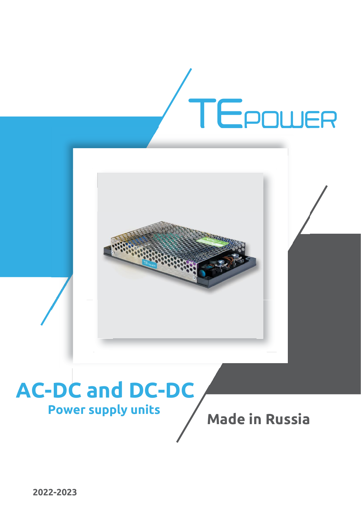

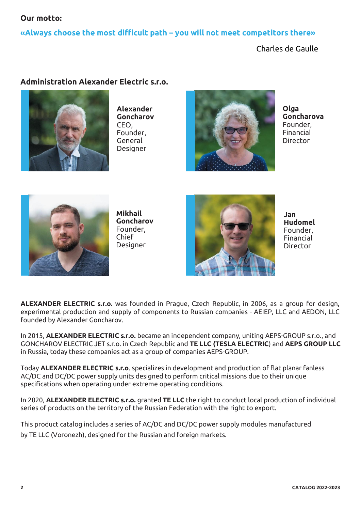### **Our motto:**

### **«Always choose the most difficult path – you will not meet competitors there»**

Charles de Gaulle

### **Administration Alexander Electric s.r.o.**



**Alexander Goncharov** CEO, Founder, General Designer



**Olga Goncharova** Founder, Financial **Director** 



**Mikhail Goncharov**  Founder, Chief Designer



**Jan Hudomel**  Founder, Financial **Director** 

**ALEXANDER ELECTRIC s.r.o.** was founded in Prague, Czech Republic, in 2006, as a group for design, experimental production and supply of components to Russian companies - AEIEP, LLC and AEDON, LLC founded by Alexander Goncharov.

In 2015, **ALEXANDER ELECTRIC s.r.o.** became an independent company, uniting AEPS-GROUP s.r.o., and GONCHAROV ELECTRIC JET s.r.o. in Czech Republic and **TE LLC (TESLA ELECTRIC**) and **AEPS GROUP LLC** in Russia, today these companies act as a group of companies AEPS-GROUP.

Today **ALEXANDER ELECTRIC s.r.o**. specializes in development and production of flat planar fanless AC/DC and DC/DC power supply units designed to perform critical missions due to their unique specifications when operating under extreme operating conditions.

In 2020, **ALEXANDER ELECTRIC s.r.o.** granted **TE LLC** the right to conduct local production of individual series of products on the territory of the Russian Federation with the right to export.

This product catalog includes a series of AC/DC and DC/DC power supply modules manufactured by TE LLC (Voronezh), designed for the Russian and foreign markets.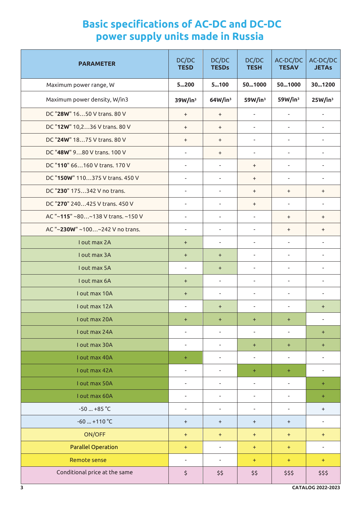# **Basic specifications of AC-DC and DC-DC power supply units made in Russia**

| <b>PARAMETER</b>                  | DC/DC<br><b>TESD</b>     | DC/DC<br><b>TESDs</b>    | DC/DC<br><b>TESH</b>     | AC-DC/DC<br><b>TESAV</b> | AC-DC/DC<br><b>JETAs</b> |
|-----------------------------------|--------------------------|--------------------------|--------------------------|--------------------------|--------------------------|
| Maximum power range, W            | 5200                     | 5100                     | 501000                   | 501000                   | 301200                   |
| Maximum power density, W/in3      | 39W/in <sup>3</sup>      | 64W/in <sup>3</sup>      | 59W/in <sup>3</sup>      | 59W/in <sup>3</sup>      | 25W/in <sup>3</sup>      |
| DC "28W" 1650 V trans. 80 V       | $\ddot{}$                | $\ddot{}$                | $\overline{\phantom{a}}$ | $\overline{\phantom{a}}$ | $\overline{\phantom{a}}$ |
| DC "12W" 10,236 V trans. 80 V     | $\ddot{}$                | $\ddot{}$                | $\overline{\phantom{a}}$ | $\overline{\phantom{a}}$ | $\overline{\phantom{a}}$ |
| DC "24W" 1875 V trans. 80 V       | $\ddot{}$                | $\ddot{}$                | $\overline{\phantom{a}}$ | $\overline{\phantom{a}}$ | $\overline{\phantom{a}}$ |
| DC "48W" 980 V trans. 100 V       | $\overline{\phantom{a}}$ | $\ddot{}$                | $\blacksquare$           | $\overline{\phantom{a}}$ | $\bar{ }$                |
| DC "110" 66160 V trans. 170 V     | $\overline{\phantom{a}}$ | $\overline{\phantom{a}}$ | $\ddot{}$                | $\bar{ }$                | $\overline{\phantom{a}}$ |
| DC "150W" 110375 V trans. 450 V   | $\overline{\phantom{a}}$ | $\overline{\phantom{a}}$ | $\ddot{}$                | $\overline{\phantom{a}}$ | $\overline{\phantom{a}}$ |
| DC "230" 175342 V no trans.       | $\overline{\phantom{a}}$ | $\overline{\phantom{a}}$ | $\ddot{}$                | $\ddot{}$                | $\ddot{}$                |
| DC "270" 240425 V trans. 450 V    | $\overline{\phantom{a}}$ | $\overline{\phantom{a}}$ | $\ddot{}$                | $\overline{\phantom{a}}$ | $\overline{\phantom{a}}$ |
| AC "~115" ~80~138 V trans. ~150 V | $\overline{\phantom{a}}$ | $\overline{\phantom{a}}$ | $\overline{\phantom{a}}$ | $\ddot{}$                | $\ddot{}$                |
| AC "~230W" ~100~242 V no trans.   | $\overline{\phantom{a}}$ | $\overline{\phantom{a}}$ | $\overline{\phantom{a}}$ | $\ddot{}$                | $\ddot{}$                |
| I out max 2A                      | $\ddot{}$                | $\overline{\phantom{a}}$ | $\overline{\phantom{a}}$ | $\bar{ }$                | $\overline{\phantom{a}}$ |
| I out max 3A                      | $\ddot{}$                | $\pm$                    | $\overline{\phantom{a}}$ | $\overline{\phantom{a}}$ | $\overline{\phantom{a}}$ |
| I out max 5A                      | $\overline{\phantom{a}}$ | $\ddot{}$                | $\overline{\phantom{a}}$ | $\overline{\phantom{a}}$ | $\overline{\phantom{a}}$ |
| I out max 6A                      | $\ddot{}$                | $\overline{\phantom{a}}$ | $\overline{\phantom{a}}$ | $\overline{\phantom{a}}$ | $\overline{\phantom{a}}$ |
| I out max 10A                     | $\ddot{}$                | $\overline{\phantom{a}}$ | $\blacksquare$           | $\overline{\phantom{a}}$ | $\overline{\phantom{a}}$ |
| I out max 12A                     | $\overline{\phantom{a}}$ | $\ddot{}$                | $\overline{\phantom{a}}$ | $\overline{\phantom{a}}$ | $\ddot{}$                |
| I out max 20A                     | $\ddot{}$                | $\ddot{}$                | $\ddot{}$                | $\ddot{}$                | $\overline{\phantom{a}}$ |
| I out max 24A                     | $\overline{\phantom{a}}$ | $\overline{\phantom{a}}$ | $\overline{\phantom{a}}$ | $\overline{\phantom{a}}$ | ÷                        |
| I out max 30A                     | $\overline{\phantom{a}}$ | $\overline{\phantom{a}}$ | $\ddot{}$                | $\ddot{}$                | ÷                        |
| I out max 40A                     | $\ddot{}$                | $\overline{\phantom{a}}$ | $\overline{\phantom{a}}$ | $\overline{\phantom{a}}$ | $\overline{a}$           |
| I out max 42A                     | ÷                        | $\overline{\phantom{a}}$ | ÷                        | ÷                        | $\overline{\phantom{a}}$ |
| I out max 50A                     | $\overline{\phantom{a}}$ | $\overline{\phantom{a}}$ | $\overline{\phantom{a}}$ | $\overline{\phantom{a}}$ | ÷                        |
| I out max 60A                     | $\overline{\phantom{a}}$ | $\overline{\phantom{a}}$ | $\overline{\phantom{a}}$ | $\overline{\phantom{a}}$ | ÷                        |
| $-50$ +85 °C                      | $\overline{\phantom{a}}$ | $\overline{\phantom{a}}$ | $\overline{\phantom{a}}$ | $\overline{\phantom{a}}$ | $\pm$                    |
| $-60$ $+110$ °C                   | $\ddot{}$                | $\ddot{}$                | $\ddot{}$                | $\ddot{}$                | $\overline{\phantom{a}}$ |
| ON/OFF                            | $\ddot{}$                | $\ddot{}$                | $\ddot{}$                | $\ddot{}$                | $\pm$                    |
| <b>Parallel Operation</b>         | $\ddot{}$                | $\overline{\phantom{a}}$ | $\pm$                    | $\ddot{}$                | $\overline{\phantom{a}}$ |
| Remote sense                      | $\overline{\phantom{a}}$ | $\overline{\phantom{a}}$ | ÷                        | $\ddot{}$                | ÷                        |
| Conditional price at the same     | \$                       | \$\$                     | \$\$                     | \$\$\$                   | \$\$\$                   |
| 3                                 |                          |                          |                          |                          | CATALOG 2022-2023        |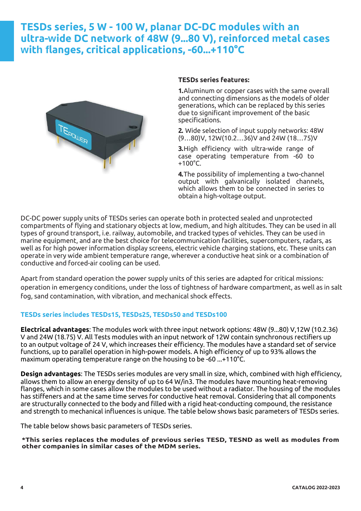## **TESDs series, 5 W - 100 W, planar DC-DC modules with an ultra-wide DC network of 48W (9...80 V), reinforced metal cases with flanges, critical applications, -60...+110°C**



#### **TESDs series features:**

**1.**Aluminum or copper cases with the same overall and connecting dimensions as the models of older generations, which can be replaced by this series due to significant improvement of the basic specifications.

**2.** Wide selection of input supply networks: 48W (9…80)V, 12W(10.2…36)V and 24W (18…75)V

**3.**High efficiency with ultra-wide range of case operating temperature from -60 to +100°C.

**4.**The possibility of implementing a two-channel output with galvanically isolated channels, which allows them to be connected in series to obtain a high-voltage output.

DC-DC power supply units of TESDs series can operate both in protected sealed and unprotected compartments of flying and stationary objects at low, medium, and high altitudes. They can be used in all types of ground transport, i.e. railway, automobile, and tracked types of vehicles. They can be used in marine equipment, and are the best choice for telecommunication facilities, supercomputers, radars, as well as for high power information display screens, electric vehicle charging stations, etc. These units can operate in very wide ambient temperature range, wherever a conductive heat sink or a combination of conductive and forced-air cooling can be used.

Apart from standard operation the power supply units of this series are adapted for critical missions: operation in emergency conditions, under the loss of tightness of hardware compartment, as well as in salt fog, sand contamination, with vibration, and mechanical shock effects.

#### **TESDs series includes TESDs15, TESDs25, TESDs50 and TESDs100**

**Electrical advantages**: The modules work with three input network options: 48W (9...80) V,12W (10.2.36) V and 24W (18.75) V. All Tests modules with an input network of 12W contain synchronous rectifiers up to an output voltage of 24 V, which increases their efficiency. The modules have a standard set of service functions, up to parallel operation in high-power models. A high efficiency of up to 93% allows the maximum operating temperature range on the housing to be -60 ...+110°C.

**Design advantages**: The TESDs series modules are very small in size, which, combined with high efficiency, allows them to allow an energy density of up to 64 W/in3. The modules have mounting heat-removing flanges, which in some cases allow the modules to be used without a radiator. The housing of the modules has stiffeners and at the same time serves for conductive heat removal. Considering that all components are structurally connected to the body and filled with a rigid heat-conducting compound, the resistance and strength to mechanical influences is unique. The table below shows basic parameters of TESDs series.

The table below shows basic parameters of TESDs series.

**\*This series replaces the modules of previous series TESD, TESND as well as modules from other companies in similar cases of the MDM series.**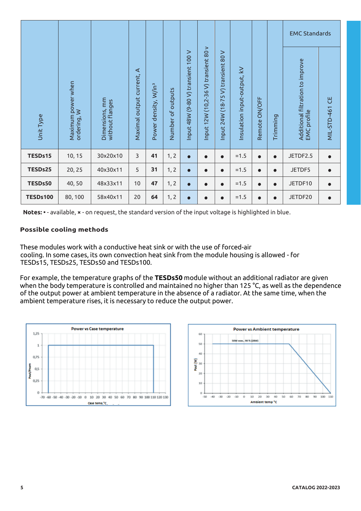|                                                                                                                                                                                                                                                                                                                                                                                                                                                                 |                                   |                                   |                           |                                  |                   |                                   |                                     |                                      |                             |               |           | <b>EMC Standards</b>                            |                       |  |
|-----------------------------------------------------------------------------------------------------------------------------------------------------------------------------------------------------------------------------------------------------------------------------------------------------------------------------------------------------------------------------------------------------------------------------------------------------------------|-----------------------------------|-----------------------------------|---------------------------|----------------------------------|-------------------|-----------------------------------|-------------------------------------|--------------------------------------|-----------------------------|---------------|-----------|-------------------------------------------------|-----------------------|--|
| Unit Type                                                                                                                                                                                                                                                                                                                                                                                                                                                       | Maximum power when<br>ordering, W | Dimensions, mm<br>without flanges | Maximal output current, A | Power density, W/in <sup>3</sup> | Number of outputs | nput 48W (9-80 V) transient 100 V | nput 12W (10,2-36 V) transient 80 v | V) transient 80 V<br>nput 24W (18-75 | Insulation input-output, kV | Remote ON/OFF | Trimming  | Additional filtration to improve<br>EMC profile | <b>MIL-STD-461 CE</b> |  |
| TESDs15                                                                                                                                                                                                                                                                                                                                                                                                                                                         | 10, 15                            | 30x20x10                          | $\mathsf{3}$              | 41                               | 1, 2              | $\bullet$                         | $\bullet$                           | $\bullet$                            | $=1.5$                      |               | $\bullet$ | JETDF2.5                                        |                       |  |
| TESDs25                                                                                                                                                                                                                                                                                                                                                                                                                                                         | 20, 25                            | 40x30x11                          | 5                         | 31                               | 1, 2              | $\bullet$                         | $\bullet$                           | $\bullet$                            | $=1.5$                      |               | $\bullet$ | JETDF5                                          |                       |  |
| TESDs50                                                                                                                                                                                                                                                                                                                                                                                                                                                         | 40,50                             | 48x33x11                          | 10                        | 47                               | 1, 2              | $\bullet$                         | $\bullet$                           | $\bullet$                            | $=1.5$                      |               | $\bullet$ | JETDF10                                         |                       |  |
| <b>TESDs100</b>                                                                                                                                                                                                                                                                                                                                                                                                                                                 | 80,100                            | 58x40x11                          | 20                        | 64                               | 1, 2              | $\bullet$                         | $\bullet$                           | $\bullet$                            | $=1.5$                      |               | $\bullet$ | JETDF20                                         |                       |  |
| TESDs15, TESDs25, TESDs50 and TESDs100.<br>For example, the temperature graphs of the TESDs50 module without an additional radiator are given<br>when the body temperature is controlled and maintained no higher than 125 °C, as well as the dependence<br>of the output power at ambient temperature in the absence of a radiator. At the same time, when the<br>ambient temperature rises, it is necessary to reduce the output power.                       |                                   |                                   |                           |                                  |                   |                                   |                                     |                                      |                             |               |           |                                                 |                       |  |
| <b>Power vs Case temperature</b><br><b>Power vs Ambient temperature</b><br>1,25<br>60<br>50W =ces., 90 % (28W)<br>50<br>1<br>40<br>0,75<br>Pout (W)<br>30<br>Pout/Paom<br>0,5<br>20<br>0,25<br>10<br>Ö<br>O<br>$-40$<br>$-30$<br>$-20$<br>$-30$<br>20<br>50<br>70<br>80<br>90<br>100 110<br>$-50$<br>0<br>10<br>30<br>40<br>60<br>$-70$ $-60$ $-50$ $-40$ $-30$ $-20$ $-10$ 0<br>10 20 30 40 50 60 70 80 90 100 110 120 130<br>Ambient temp °C<br>Case termo °C |                                   |                                   |                           |                                  |                   |                                   |                                     |                                      |                             |               |           |                                                 |                       |  |
| 5                                                                                                                                                                                                                                                                                                                                                                                                                                                               |                                   |                                   |                           |                                  |                   |                                   |                                     |                                      |                             |               |           | <b>CATALOG 2022-2023</b>                        |                       |  |

#### **Possible cooling methods**



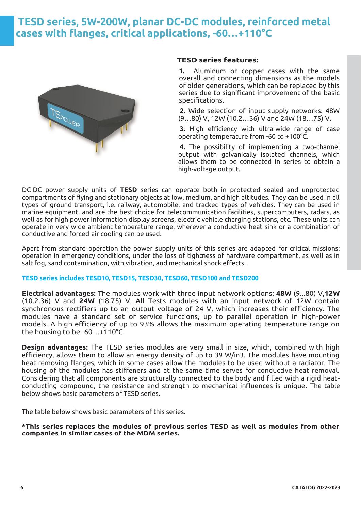## **TESD series, 5W-200W, planar DC-DC modules, reinforced metal cases with flanges, critical applications, -60…+110°C**



#### **TESD series features:**

**1.** Aluminum or copper cases with the same overall and connecting dimensions as the models of older generations, which can be replaced by this series due to significant improvement of the basic specifications.

**2**. Wide selection of input supply networks: 48W (9…80) V, 12W (10.2…36) V and 24W (18…75) V.

**3.** High efficiency with ultra-wide range of case operating temperature from -60 to +100°C.

**4.** The possibility of implementing a two-channel output with galvanically isolated channels, which allows them to be connected in series to obtain a high-voltage output.

DC-DC power supply units of **TESD** series can operate both in protected sealed and unprotected compartments of flying and stationary objects at low, medium, and high altitudes. They can be used in all types of ground transport, i.e. railway, automobile, and tracked types of vehicles. They can be used in marine equipment, and are the best choice for telecommunication facilities, supercomputers, radars, as well as for high power information display screens, electric vehicle charging stations, etc. These units can operate in very wide ambient temperature range, wherever a conductive heat sink or a combination of conductive and forced-air cooling can be used.

Apart from standard operation the power supply units of this series are adapted for critical missions: operation in emergency conditions, under the loss of tightness of hardware compartment, as well as in salt fog, sand contamination, with vibration, and mechanical shock effects.

#### **TESD series includes TESD10, TESD15, TESD30, TESD60, TESD100 and TESD200**

**Electrical advantages:** The modules work with three input network options: **48W** (9...80) V,**12W** (10.2.36) V and **24W** (18.75) V. All Tests modules with an input network of 12W contain synchronous rectifiers up to an output voltage of 24 V, which increases their efficiency. The modules have a standard set of service functions, up to parallel operation in high-power models. A high efficiency of up to 93% allows the maximum operating temperature range on the housing to be -60 ...+110°C.

**Design advantages:** The TESD series modules are very small in size, which, combined with high efficiency, allows them to allow an energy density of up to 39 W/in3. The modules have mounting heat-removing flanges, which in some cases allow the modules to be used without a radiator. The housing of the modules has stiffeners and at the same time serves for conductive heat removal. Considering that all components are structurally connected to the body and filled with a rigid heatconducting compound, the resistance and strength to mechanical influences is unique. The table below shows basic parameters of TESD series.

The table below shows basic parameters of this series.

**\*This series replaces the modules of previous series TESD as well as modules from other companies in similar cases of the MDM series.**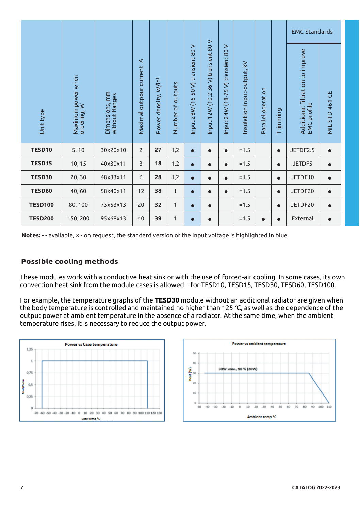|                                                                                                                                                                                                                                                                                                                                                                                                                                                                                                                                                                                                                      |                                   |                                   |                            |                                  |                   |                                    |                                      |                                    |                             |                    |           | <b>EMC Standards</b>                            |                       |  |
|----------------------------------------------------------------------------------------------------------------------------------------------------------------------------------------------------------------------------------------------------------------------------------------------------------------------------------------------------------------------------------------------------------------------------------------------------------------------------------------------------------------------------------------------------------------------------------------------------------------------|-----------------------------------|-----------------------------------|----------------------------|----------------------------------|-------------------|------------------------------------|--------------------------------------|------------------------------------|-----------------------------|--------------------|-----------|-------------------------------------------------|-----------------------|--|
| Unit type                                                                                                                                                                                                                                                                                                                                                                                                                                                                                                                                                                                                            | Maximum power when<br>ordering, W | Dimensions, mm<br>without flanges | Maximal outpour current, A | Power density, W/in <sup>3</sup> | Number of outputs | Input 28W (16-50 V) transient 80 V | Input 12W (10,2-36 V) transient 80 V | Input 24W (18-75 V) transient 80 V | Insulation input-output, kV | Parallel operation | Trimming  | Additional filtration to improve<br>EMC profile | <b>MIL-STD-461 CE</b> |  |
| TESD10                                                                                                                                                                                                                                                                                                                                                                                                                                                                                                                                                                                                               | 5, 10                             | 30x20x10                          | $\overline{2}$             | 27                               | 1,2               | $\bullet$                          | $\bullet$                            | $\bullet$                          | $=1.5$                      |                    | $\bullet$ | JETDF2.5                                        | $\bullet$             |  |
| TESD15                                                                                                                                                                                                                                                                                                                                                                                                                                                                                                                                                                                                               | 10, 15                            | 40x30x11                          | 3                          | 18                               | 1,2               | $\bullet$                          | $\bullet$                            |                                    | $=1.5$                      |                    | $\bullet$ | JETDF5                                          |                       |  |
| <b>TESD30</b>                                                                                                                                                                                                                                                                                                                                                                                                                                                                                                                                                                                                        | 20,30                             | 48x33x11                          | 6                          | 28                               | 1,2               | $\bullet$                          | $\bullet$                            |                                    | $=1.5$                      |                    | $\bullet$ | JETDF10                                         |                       |  |
| <b>TESD60</b>                                                                                                                                                                                                                                                                                                                                                                                                                                                                                                                                                                                                        | 40,60                             | 58x40x11                          | 12                         | 38                               | 1                 | $\bullet$                          |                                      |                                    | $=1.5$                      |                    | $\bullet$ | JETDF20                                         |                       |  |
| <b>TESD100</b>                                                                                                                                                                                                                                                                                                                                                                                                                                                                                                                                                                                                       | 80,100                            | 73x53x13                          | 20                         | 32                               | 1                 | $\bullet$                          |                                      |                                    | $=1.5$                      |                    | $\bullet$ | JETDF20                                         |                       |  |
| <b>TESD200</b>                                                                                                                                                                                                                                                                                                                                                                                                                                                                                                                                                                                                       | 150,200                           | 95x68x13                          | 40                         | 39                               | 1                 | $\bullet$                          | $\bullet$                            |                                    | $=1.5$                      | $\bullet$          | $\bullet$ | External                                        | $\bullet$             |  |
| These modules work with a conductive heat sink or with the use of forced-air cooling. In some cases, its ow<br>convection heat sink from the module cases is allowed - for TESD10, TESD15, TESD30, TESD60, TESD100.<br>For example, the temperature graphs of the TESD30 module without an additional radiator are given wher<br>the body temperature is controlled and maintained no higher than 125 °C, as well as the dependence of the<br>output power at ambient temperature in the absence of a radiator. At the same time, when the ambient<br>temperature rises, it is necessary to reduce the output power. |                                   |                                   |                            |                                  |                   |                                    |                                      |                                    |                             |                    |           |                                                 |                       |  |
|                                                                                                                                                                                                                                                                                                                                                                                                                                                                                                                                                                                                                      |                                   |                                   |                            |                                  |                   |                                    |                                      |                                    |                             |                    |           |                                                 |                       |  |
| <b>Power vs ambient temperature</b><br><b>Power vs Case temperature</b><br>1,25<br>1<br>40<br>30W HOM., 90 % (28W)<br>Pout (W)<br>0,75<br>Pout/Paom<br>20<br>0,5<br>10<br>0,25<br>ö<br>$-30$<br>$-20 - 10$<br>$-50$<br>$-40$<br>$\Omega$<br>10<br>20<br>30<br>40<br>50<br>60<br>70<br>80<br>90<br>100 110<br>$\circ$<br>$-70$ $-60$ $-50$ $-40$ $-30$ $-20$ $-10$ 0<br>10 20 30<br>40 50 60 70 80 90 100 110 120 130<br>Ambient temp °C<br>Case termo °C                                                                                                                                                             |                                   |                                   |                            |                                  |                   |                                    |                                      |                                    |                             |                    |           |                                                 |                       |  |
| 7                                                                                                                                                                                                                                                                                                                                                                                                                                                                                                                                                                                                                    |                                   |                                   |                            |                                  |                   |                                    |                                      |                                    |                             |                    |           | <b>CATALOG 2022-2023</b>                        |                       |  |

### **Possible cooling methods**



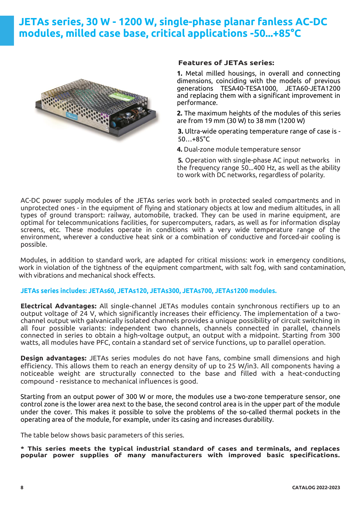## **JETAs series, 30 W - 1200 W, single-phase planar fanless AC-DC modules, milled case base, critical applications -50...+85°C**



#### **Features of JETAs series:**

**1.** Metal milled housings, in overall and connecting dimensions, coinciding with the models of previous generations TESA40-TESA1000, JETA60-JETA1200 and replacing them with a significant improvement in performance.

**2.** The maximum heights of the modules of this series are from 19 mm (30 W) to 38 mm (1200 W)

**3.** Ultra-wide operating temperature range of case is - 50…+85°C

**4.** Dual-zone module temperature sensor

**5.** Operation with single-phase AC input networks in the frequency range 50...400 Hz, as well as the ability to work with DC networks, regardless of polarity.

AC-DC power supply modules of the JETAs series work both in protected sealed compartments and in unprotected ones - in the equipment of flying and stationary objects at low and medium altitudes, in all types of ground transport: railway, automobile, tracked. They can be used in marine equipment, are optimal for telecommunications facilities, for supercomputers, radars, as well as for information display screens, etc. These modules operate in conditions with a very wide temperature range of the environment, wherever a conductive heat sink or a combination of conductive and forced-air cooling is possible.

Modules, in addition to standard work, are adapted for critical missions: work in emergency conditions, work in violation of the tightness of the equipment compartment, with salt fog, with sand contamination, with vibrations and mechanical shock effects.

#### **JETAs series includes: JETAs60, JETAs120, JETAs300, JETAs700, JETAs1200 modules.**

**Electrical Advantages:** All single-channel JETAs modules contain synchronous rectifiers up to an output voltage of 24 V, which significantly increases their efficiency. The implementation of a twochannel output with galvanically isolated channels provides a unique possibility of circuit switching in all four possible variants: independent two channels, channels connected in parallel, channels connected in series to obtain a high-voltage output, an output with a midpoint. Starting from 300 watts, all modules have PFC, contain a standard set of service functions, up to parallel operation.

**Design advantages:** JETAs series modules do not have fans, combine small dimensions and high efficiency. This allows them to reach an energy density of up to 25 W/in3. All components having a noticeable weight are structurally connected to the base and filled with a heat-conducting compound - resistance to mechanical influences is good.

Starting from an output power of 300 W or more, the modules use a two-zone temperature sensor, one control zone is the lower area next to the base, the second control area is in the upper part of the module under the cover. This makes it possible to solve the problems of the so-called thermal pockets in the operating area of the module, for example, under its casing and increases durability.

The table below shows basic parameters of this series.

**\* This series meets the typical industrial standard of cases and terminals, and replaces popular power supplies of many manufacturers with improved basic specifications.**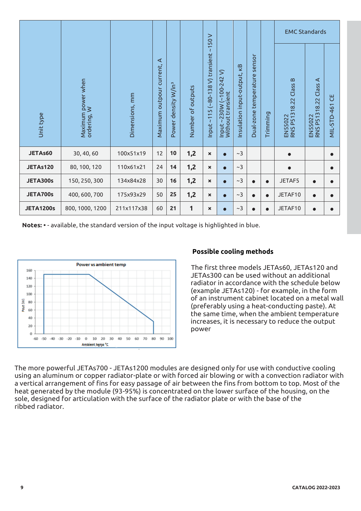|                                                              |                                                                                                                                                                                                                                                                                                                                                                  |                |                               |                                 |                   |                                         |                                               |                             |                                 |          | <b>EMC Standards</b>                                                                                                                                                                                                                                                                                                                                                                                |                                   |                          |  |  |
|--------------------------------------------------------------|------------------------------------------------------------------------------------------------------------------------------------------------------------------------------------------------------------------------------------------------------------------------------------------------------------------------------------------------------------------|----------------|-------------------------------|---------------------------------|-------------------|-----------------------------------------|-----------------------------------------------|-----------------------------|---------------------------------|----------|-----------------------------------------------------------------------------------------------------------------------------------------------------------------------------------------------------------------------------------------------------------------------------------------------------------------------------------------------------------------------------------------------------|-----------------------------------|--------------------------|--|--|
| Unit type                                                    | Maximum power when<br>ordering, W                                                                                                                                                                                                                                                                                                                                | Dimensions, mm | ⋖<br>Maximum outpour current, | Power density W/in <sup>3</sup> | Number of outputs | Input ~115 (~80-138 V) transient ~150 V | Input ~230W (~100-242 V)<br>Without transient | Insulation input-output, KB | sensor<br>Dual-zone temperature | Trimming | EN 55022<br>RNS P51318.22 Class B                                                                                                                                                                                                                                                                                                                                                                   | EN 55022<br>RNS P51318.22 Class A | ٣J<br><b>MIL-STD-461</b> |  |  |
| JETAs60                                                      | 30, 40, 60                                                                                                                                                                                                                                                                                                                                                       | 100x51x19      | 12                            | 10                              | 1,2               | $\pmb{\times}$                          | $\bullet$                                     | $\sim$ 3                    |                                 |          |                                                                                                                                                                                                                                                                                                                                                                                                     |                                   |                          |  |  |
| <b>JETAs120</b>                                              | 80, 100, 120                                                                                                                                                                                                                                                                                                                                                     | 110x61x21      | 24                            | 14                              | 1,2               | ×                                       | $\bullet$                                     | ~1                          |                                 |          |                                                                                                                                                                                                                                                                                                                                                                                                     |                                   |                          |  |  |
| <b>JETA300s</b>                                              | 150, 250, 300                                                                                                                                                                                                                                                                                                                                                    | 134x84x28      | 30                            | 16                              | 1,2               | ×                                       |                                               | $\sim$ 3                    |                                 |          | JETAF5                                                                                                                                                                                                                                                                                                                                                                                              |                                   |                          |  |  |
| <b>JETA700s</b>                                              | 400, 600, 700                                                                                                                                                                                                                                                                                                                                                    | 175x93x29      | 50                            | 25                              | 1,2               | ×                                       |                                               | ~2                          |                                 |          | JETAF10                                                                                                                                                                                                                                                                                                                                                                                             |                                   |                          |  |  |
| <b>JETA1200s</b>                                             | 800, 1000, 1200                                                                                                                                                                                                                                                                                                                                                  | 211x117x38     | 60                            | 21                              | 1                 | $\pmb{\times}$                          |                                               | ~2                          |                                 |          | JETAF10                                                                                                                                                                                                                                                                                                                                                                                             |                                   |                          |  |  |
| 160<br>140<br>120<br>100<br>Pout (W)<br>80<br>60<br>40<br>20 | <b>Power vs ambient temp</b>                                                                                                                                                                                                                                                                                                                                     |                |                               |                                 |                   |                                         |                                               |                             |                                 |          | The first three models JETAs60, JETAs120 and<br>JETAs300 can be used without an additional<br>radiator in accordance with the schedule below<br>(example JETAs120) - for example, in the form<br>of an instrument cabinet located on a metal wa<br>(preferably using a heat-conducting paste). At<br>the same time, when the ambient temperature<br>increases, it is necessary to reduce the output |                                   |                          |  |  |
| Ō<br>-60<br>$-40$                                            | $-30$<br>$-20$<br>$-10$<br>Ambient temp "C<br>he more powerful JETAs700 - JETAs1200 modules are designed only for use with conductive cooling<br>sing an aluminum or copper radiator-plate or with forced air blowing or with a convection radiator wit<br>vertical arrangement of fins for easy passage of air between the fins from bottom to top. Most of the | 60<br>70<br>50 | 80<br>90 100                  |                                 | power             |                                         |                                               |                             |                                 |          |                                                                                                                                                                                                                                                                                                                                                                                                     |                                   |                          |  |  |
| ibbed radiator.                                              | eat generated by the module (93-95%) is concentrated on the lower surface of the housing, on the<br>ole, designed for articulation with the surface of the radiator plate or with the base of the                                                                                                                                                                |                |                               |                                 |                   |                                         |                                               |                             |                                 |          |                                                                                                                                                                                                                                                                                                                                                                                                     |                                   |                          |  |  |
|                                                              |                                                                                                                                                                                                                                                                                                                                                                  |                |                               |                                 |                   |                                         |                                               |                             |                                 |          |                                                                                                                                                                                                                                                                                                                                                                                                     | <b>CATALOG 2022-2023</b>          |                          |  |  |



#### **Possible cooling methods**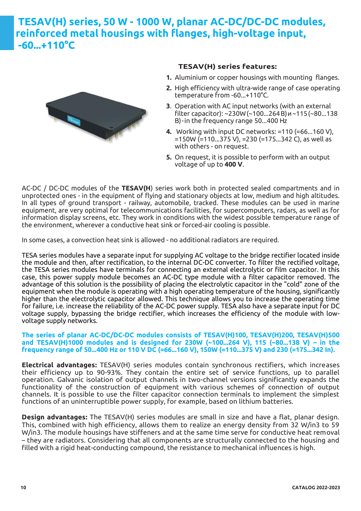## **TESAV(H) series, 50 W - 1000 W, planar AC-DC/DC-DC modules, reinforced metal housings with flanges, high-voltage input, -60...+110°C**



#### **TESAV(H) series features:**

- **1.** Aluminium or copper housings with mounting flanges.
- **2.** High efficiency with ultra-wide range of case operating temperature from -60...+110°C.
- **3**. Operation with AC input networks (with an external filter capacitor): ~230W(~100...264В)и~115(~80...138 В)-in the frequency range 50...400 Hz
- **4.** Working with input DC networks: =110 (=66...160 V), =150W (=110...375 V), =230 (=175...342 C), as well as with others - on request.
- **5.** On request, it is possible to perform with an output voltage of up to **400 V**.

AC-DC / DC-DC modules of the **TESAV(H**) series work both in protected sealed compartments and in unprotected ones - in the equipment of flying and stationary objects at low, medium and high altitudes. In all types of ground transport - railway, automobile, tracked. These modules can be used in marine equipment, are very optimal for telecommunications facilities, for supercomputers, radars, as well as for information display screens, etc. They work in conditions with the widest possible temperature range of the environment, wherever a conductive heat sink or forced-air cooling is possible.

In some cases, a convection heat sink is allowed - no additional radiators are required.

TESA series modules have a separate input for supplying AC voltage to the bridge rectifier located inside the module and then, after rectification, to the internal DC-DC converter. To filter the rectified voltage, the TESA series modules have terminals for connecting an external electrolytic or film capacitor. In this case, this power supply module becomes an AC-DC type module with a filter capacitor removed. The advantage of this solution is the possibility of placing the electrolytic capacitor in the "cold" zone of the equipment when the module is operating with a high operating temperature of the housing, significantly higher than the electrolytic capacitor allowed. This technique allows you to increase the operating time for failure, i.e. increase the reliability of the AC-DC power supply. TESA also have a separate input for DC voltage supply, bypassing the bridge rectifier, which increases the efficiency of the module with lowvoltage supply networks.

#### **The series of planar AC-DC/DC-DC modules consists of TESAV(H)100, TESAV(H)200, TESAV(H)500 and TESAV(H)1000 modules and is designed for 230W (~100...264 V), 115 (~80...138 V) – in the frequency range of 50...400 Hz or 110 V DC (=66...160 V), 150W (=110...375 V) and 230 (=175...342 In).**

**Electrical advantages:** TESAV(H) series modules contain synchronous rectifiers, which increases their efficiency up to 90-93%. They contain the entire set of service functions, up to parallel operation. Galvanic isolation of output channels in two-channel versions significantly expands the functionality of the construction of equipment with various schemes of connection of output channels. It is possible to use the filter capacitor connection terminals to implement the simplest functions of an uninterruptible power supply, for example, based on lithium batteries.

**Design advantages:** The TESAV(H) series modules are small in size and have a flat, planar design. This, combined with high efficiency, allows them to realize an energy density from 32 W/in3 to 59 W/in3. The module housings have stiffeners and at the same time serve for conductive heat removal – they are radiators. Considering that all components are structurally connected to the housing and filled with a rigid heat-conducting compound, the resistance to mechanical influences is high.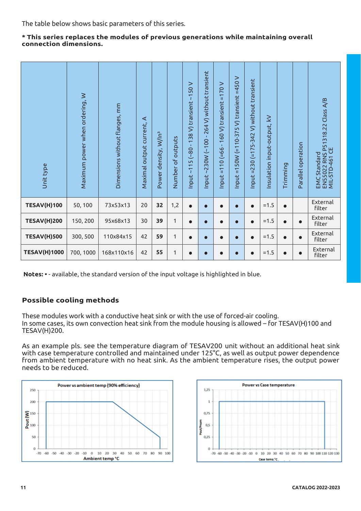The table below shows basic parameters of this series.

#### **\* This series replaces the modules of previous generations while maintaining overall connection dimensions.**

| Unit type           | Maximum power when ordering, W | Dimensions without flanges, mm | ⋖<br>Maximal output current, | Power density, W/In <sup>3</sup> | Number of outputs | 138 V) transient ~150 V<br>$-08$<br>Input~115 | 264 V) without transient<br>$\mathbf{I}$<br>30W (~100<br>$\overline{\mathsf{N}}$<br>$\mathbf{z}$<br>Input. | ⋗<br>$-170$<br>160 V) transient<br>$\mathbf{I}$<br>$(=66 -$<br>$= 110$<br>Input: | Input =150W (=110-375 V) transient =450 V | (=175-342 V) without transient<br>$nput = 230$ | Insulation input-output, kV | Trimming  | Parallel operation | EMC Standard<br>EN55022 RNS P51318.22 Class A/B<br>MIL-STD-461 CE |
|---------------------|--------------------------------|--------------------------------|------------------------------|----------------------------------|-------------------|-----------------------------------------------|------------------------------------------------------------------------------------------------------------|----------------------------------------------------------------------------------|-------------------------------------------|------------------------------------------------|-----------------------------|-----------|--------------------|-------------------------------------------------------------------|
| <b>TESAV(H)100</b>  | 50, 100                        | 73x53x13                       | 20                           | 32                               | 1,2               | $\bullet$                                     | $\bullet$                                                                                                  | $\bullet$                                                                        | $\bullet$                                 | $\bullet$                                      | $=1.5$                      | $\bullet$ |                    | External<br>filter                                                |
| <b>TESAV(H)200</b>  | 150, 200                       | 95x68x13                       | 30                           | 39                               | $\mathbf{1}$      | $\bullet$                                     | $\bullet$                                                                                                  | $\bullet$                                                                        | $\bullet$                                 | $\bullet$                                      | $=1.5$                      | $\bullet$ | $\bullet$          | External<br>filter                                                |
| <b>TESAV(H)500</b>  | 300, 500                       | 110x84x15                      | 42                           | 59                               | $\mathbf{1}$      | $\bullet$                                     | $\bullet$                                                                                                  | 0                                                                                | $\bullet$                                 | $\bullet$                                      | $=1.5$                      | $\bullet$ | $\bullet$          | External<br>filter                                                |
| <b>TESAV(H)1000</b> | 700, 1000                      | 168x110x16                     | 42                           | 55                               | $\mathbf{1}$      | $\bullet$                                     |                                                                                                            |                                                                                  |                                           |                                                | $=1.5$                      | $\bullet$ |                    | External<br>filter                                                |

 **Notes: •** - available, the standard version of the input voltage is highlighted in blue.

### **Possible cooling methods**

These modules work with a conductive heat sink or with the use of forced-air cooling. In some cases, its own convection heat sink from the module housing is allowed – for TESAV(H)100 and TESAV(H)200.

As an example pls. see the temperature diagram of TESAV200 unit without an additional heat sink with case temperature controlled and maintained under 125°C, as well as output power dependence from ambient temperature with no heat sink. As the ambient temperature rises, the output power needs to be reduced.



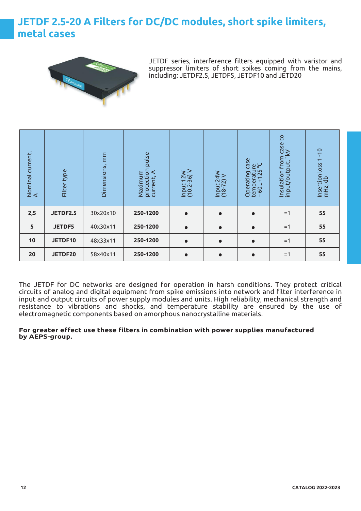## **JETDF 2.5-20 A Filters for DC/DC modules, short spike limiters, metal cases**



JETDF series, interference filters equipped with varistor and suppressor limiters of short spikes coming from the mains, including: JETDF2.5, JETDF5, JETDF10 and JETD20

| Nominal current,<br>A | Filter type   | Dimensions, mm | pulse<br>protection<br>current, A<br>Maximum | Input 12W<br>(10.2-36) V | Input 24W<br>(18-72) V | Case<br>temperature<br>-60+125 °C<br>$60+125$<br>Operating | S,<br>n case<br>kV<br>nsulation from<br>۱۰۰۰۰۰ - ۱۵۵۰۰<br>input/output, | $-10$<br>Insertion loss 1<br>$mHz$ , db |
|-----------------------|---------------|----------------|----------------------------------------------|--------------------------|------------------------|------------------------------------------------------------|-------------------------------------------------------------------------|-----------------------------------------|
| 2,5                   | JETDF2.5      | 30x20x10       | 250-1200                                     | $\bullet$                | $\bullet$              | $\bullet$                                                  | $=1$                                                                    | 55                                      |
| 5                     | <b>JETDF5</b> | 40x30x11       | 250-1200                                     | $\bullet$                | $\bullet$              | $\bullet$                                                  | $=1$                                                                    | 55                                      |
| 10                    | JETDF10       | 48x33x11       | 250-1200                                     | $\bullet$                | $\bullet$              | $\bullet$                                                  | $=1$                                                                    | 55                                      |
| 20                    | JETDF20       | 58x40x11       | 250-1200                                     | $\bullet$                | $\bullet$              | $\bullet$                                                  | $=1$                                                                    | 55                                      |

The JETDF for DC networks are designed for operation in harsh conditions. They protect critical circuits of analog and digital equipment from spike emissions into network and filter interference in input and output circuits of power supply modules and units. High reliability, mechanical strength and resistance to vibrations and shocks, and temperature stability are ensured by the use of electromagnetic components based on amorphous nanocrystalline materials.

#### **For greater effect use these filters in combination with power supplies manufactured by AEPS-group.**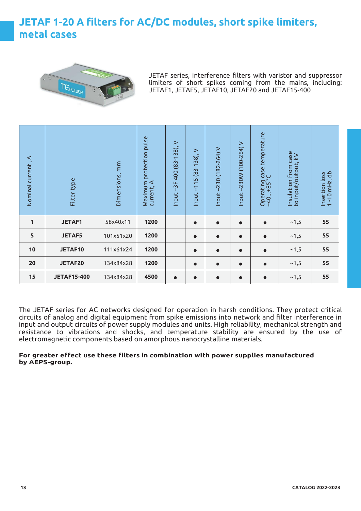## **JETAF 1-20 A filters for AC/DC modules, short spike limiters, metal cases**



JETAF series, interference filters with varistor and suppressor limiters of short spikes coming from the mains, including: JETAF1, JETAF5, JETAF10, JETAF20 and JETAF15-400

| ⋖<br>Nominal current, | Filter type        | Dimensions, mm | Maximum protection pulse<br>current, A | $\rm{~}$<br>$~13F$ 400 (83-138),<br>Input | $\, > \,$<br>$(83-138)$ ,<br>$\overline{5}$<br>$\overline{ }$<br>$\overline{\chi}$<br>Input | $~230(182 - 264)$ V<br>Input- | ~230W (100-264) V<br>Input | Operating case temperature<br>-40+85 °C<br>$-40+85$ | Insulation from case<br>to input/output, kV | Insertion loss<br>1 -10 mHz, db |
|-----------------------|--------------------|----------------|----------------------------------------|-------------------------------------------|---------------------------------------------------------------------------------------------|-------------------------------|----------------------------|-----------------------------------------------------|---------------------------------------------|---------------------------------|
| 1                     | <b>JETAF1</b>      | 58x40x11       | 1200                                   |                                           | $\bullet$                                                                                   | $\bullet$                     | $\bullet$                  | $\bullet$                                           | ~1,5                                        | 55                              |
| 5                     | <b>JETAF5</b>      | 101x51x20      | 1200                                   |                                           | $\bullet$                                                                                   | $\bullet$                     | $\bullet$                  | $\bullet$                                           | ~1,5                                        | 55                              |
| 10                    | JETAF10            | 111x61x24      | 1200                                   |                                           | $\bullet$                                                                                   | $\bullet$                     | $\bullet$                  | $\bullet$                                           | ~1,5                                        | 55                              |
| 20                    | JETAF20            | 134x84x28      | 1200                                   |                                           | $\bullet$                                                                                   | $\bullet$                     | $\bullet$                  | $\bullet$                                           | ~1,5                                        | 55                              |
| 15                    | <b>JETAF15-400</b> | 134x84x28      | 4500                                   | $\bullet$                                 | $\bullet$                                                                                   | $\bullet$                     | $\bullet$                  | $\bullet$                                           | ~1,5                                        | 55                              |

The JETAF series for AC networks designed for operation in harsh conditions. They protect critical circuits of analog and digital equipment from spike emissions into network and filter interference in input and output circuits of power supply modules and units. High reliability, mechanical strength and resistance to vibrations and shocks, and temperature stability are ensured by the use of electromagnetic components based on amorphous nanocrystalline materials.

#### **For greater effect use these filters in combination with power supplies manufactured by AEPS-group.**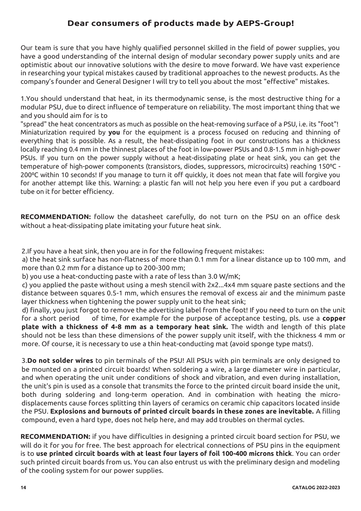### **Dear consumers of products made by AEPS-Group!**

Our team is sure that you have highly qualified personnel skilled in the field of power supplies, you have a good understanding of the internal design of modular secondary power supply units and are optimistic about our innovative solutions with the desire to move forward. We have vast experience in researching your typical mistakes caused by traditional approaches to the newest products. As the company's founder and General Designer I will try to tell you about the most "effective" mistakes.

1.You should understand that heat, in its thermodynamic sense, is the most destructive thing for a modular PSU, due to direct influence of temperature on reliability. The most important thing that we and you should aim for is to

"spread" the heat concentrators as much as possible on the heat-removing surface of a PSU, i.e. its "foot"! Miniaturization required by **you** for the equipment is a process focused on reducing and thinning of everything that is possible. As a result, the heat-dissipating foot in our constructions has a thickness locally reaching 0.4 mm in the thinnest places of the foot in low-power PSUs and 0.8-1.5 mm in high-power PSUs. If you turn on the power supply without a heat-dissipating plate or heat sink, you can get the temperature of high-power components (transistors, diodes, suppressors, microcircuits) reaching 150°C -200°C within 10 seconds! If you manage to turn it off quickly, it does not mean that fate will forgive you for another attempt like this. Warning: a plastic fan will not help you here even if you put a cardboard tube on it for better efficiency.

**RECOMMENDATION:** follow the datasheet carefully, do not turn on the PSU on an office desk without a heat-dissipating plate imitating your future heat sink.

2.If you have a heat sink, then you are in for the following frequent mistakes:

 a) the heat sink surface has non-flatness of more than 0.1 mm for a linear distance up to 100 mm, and more than 0.2 mm for a distance up to 200-300 mm;

b) you use a heat-conducting paste with a rate of less than 3.0 W/mK;

 c) you applied the paste without using a mesh stencil with 2x2...4x4 mm square paste sections and the distance between squares 0.5-1 mm, which ensures the removal of excess air and the minimum paste layer thickness when tightening the power supply unit to the heat sink;

 d) finally, you just forgot to remove the advertising label from the foot! If you need to turn on the unit for a short period of time, for example for the purpose of acceptance testing, pls. use a **copper plate with a thickness of 4-8 mm as a temporary heat sink.** The width and length of this plate should not be less than these dimensions of the power supply unit itself, with the thickness 4 mm or more. Of course, it is necessary to use a thin heat-conducting mat (avoid sponge type mats!).

3.**Do not solder wires** to pin terminals of the PSU! All PSUs with pin terminals are only designed to be mounted on a printed circuit boards! When soldering a wire, a large diameter wire in particular, and when operating the unit under conditions of shock and vibration, and even during installation, the unit's pin is used as a console that transmits the force to the printed circuit board inside the unit, both during soldering and long-term operation. And in combination with heating the microdisplacements cause forces splitting thin layers of ceramics on ceramic chip capacitors located inside the PSU. **Explosions and burnouts of printed circuit boards in these zones are inevitable.** A filling compound, even a hard type, does not help here, and may add troubles on thermal cycles.

**RECOMMENDATION:** if you have difficulties in designing a printed circuit board section for PSU, we will do it for you for free. The best approach for electrical connections of PSU pins in the equipment is to **use printed circuit boards with at least four layers of foil 100-400 microns thick**. You can order such printed circuit boards from us. You can also entrust us with the preliminary design and modeling of the cooling system for our power supplies.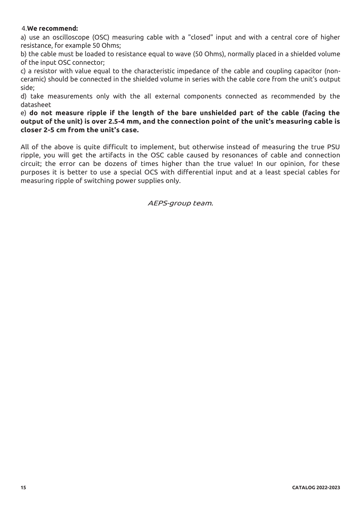#### 4.**We recommend:**

a) use an oscilloscope (OSC) measuring cable with a "closed" input and with a central core of higher resistance, for example 50 Ohms;

b) the cable must be loaded to resistance equal to wave (50 Ohms), normally placed in a shielded volume of the input OSC connector;

c) a resistor with value equal to the characteristic impedance of the cable and coupling capacitor (nonceramic) should be connected in the shielded volume in series with the cable core from the unit's output side;

d) take measurements only with the all external components connected as recommended by the datasheet

e) **do not measure ripple if the length of the bare unshielded part of the cable (facing the output of the unit) is over 2.5-4 mm, and the connection point of the unit's measuring cable is closer 2-5 cm from the unit's case.** 

All of the above is quite difficult to implement, but otherwise instead of measuring the true PSU ripple, you will get the artifacts in the OSC cable caused by resonances of cable and connection circuit; the error can be dozens of times higher than the true value! In our opinion, for these purposes it is better to use a special OCS with differential input and at a least special cables for measuring ripple of switching power supplies only.

AEPS-group team.